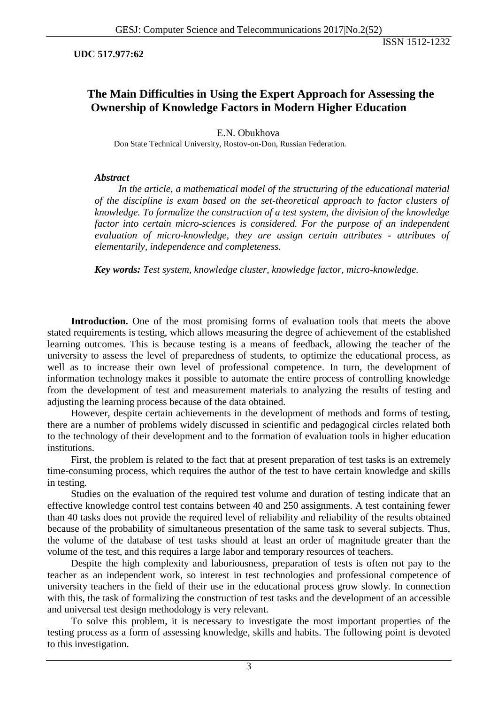### **UDC 517.977:62**

# **The Main Difficulties in Using the Expert Approach for Assessing the Ownership of Knowledge Factors in Modern Higher Education**

E.N. Obukhova Don State Technical University, Rostov-on-Don, Russian Federation.

### *Abstract*

In the article, a mathematical model of the structuring of the educational material *of the discipline is exam based on the set-theoretical approach to factor clusters of knowledge. To formalize the construction of a test system, the division of the knowledge factor into certain micro-sciences is considered. For the purpose of an independent evaluation of micro-knowledge, they are assign certain attributes - attributes of elementarily, independence and completeness.*

*Key words: Test system, knowledge cluster, knowledge factor, micro-knowledge.*

**Introduction.** One of the most promising forms of evaluation tools that meets the above stated requirements is testing, which allows measuring the degree of achievement of the established learning outcomes. This is because testing is a means of feedback, allowing the teacher of the university to assess the level of preparedness of students, to optimize the educational process, as well as to increase their own level of professional competence. In turn, the development of information technology makes it possible to automate the entire process of controlling knowledge from the development of test and measurement materials to analyzing the results of testing and adjusting the learning process because of the data obtained.

However, despite certain achievements in the development of methods and forms of testing, there are a number of problems widely discussed in scientific and pedagogical circles related both to the technology of their development and to the formation of evaluation tools in higher education institutions.

First, the problem is related to the fact that at present preparation of test tasks is an extremely time-consuming process, which requires the author of the test to have certain knowledge and skills in testing.

Studies on the evaluation of the required test volume and duration of testing indicate that an effective knowledge control test contains between 40 and 250 assignments. A test containing fewer than 40 tasks does not provide the required level of reliability and reliability of the results obtained because of the probability of simultaneous presentation of the same task to several subjects. Thus, the volume of the database of test tasks should at least an order of magnitude greater than the volume of the test, and this requires a large labor and temporary resources of teachers.

Despite the high complexity and laboriousness, preparation of tests is often not pay to the teacher as an independent work, so interest in test technologies and professional competence of university teachers in the field of their use in the educational process grow slowly. In connection with this, the task of formalizing the construction of test tasks and the development of an accessible and universal test design methodology is very relevant.

To solve this problem, it is necessary to investigate the most important properties of the testing process as a form of assessing knowledge, skills and habits. The following point is devoted to this investigation.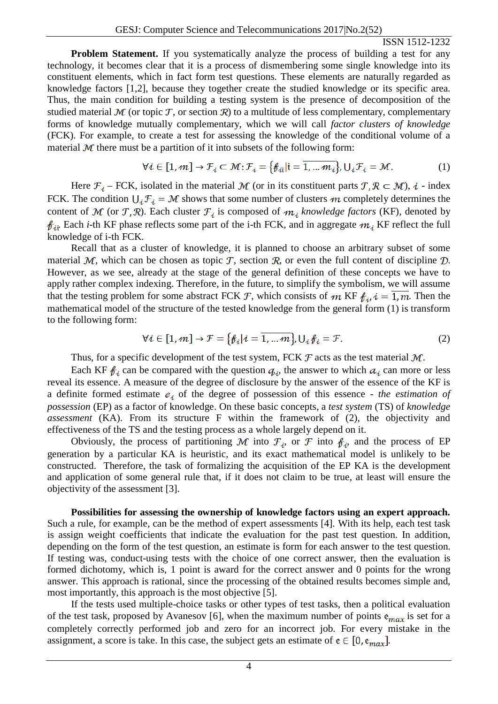**Problem Statement.** If you systematically analyze the process of building a test for any technology, it becomes clear that it is a process of dismembering some single knowledge into its constituent elements, which in fact form test questions. These elements are naturally regarded as knowledge factors [1,2], because they together create the studied knowledge or its specific area. Thus, the main condition for building a testing system is the presence of decomposition of the studied material  $M$  (or topic  $T$ , or section  $R$ ) to a multitude of less complementary, complementary forms of knowledge mutually complementary, which we will call *factor clusters of knowledge* (FCK). For example, to create a test for assessing the knowledge of the conditional volume of a material  $M$  there must be a partition of it into subsets of the following form:

$$
\forall i \in [1, m] \to \mathcal{F}_i \subset \mathcal{M}; \mathcal{F}_i = \{\mathcal{F}_{ii} | i = \overline{1, \dots m_i}\}, \bigcup_i \mathcal{F}_i = \mathcal{M}.
$$
 (1)

Here  $\mathcal{F}_i$  – FCK, isolated in the material M (or in its constituent parts  $\mathcal{T}, \mathcal{R} \subset \mathcal{M}$ ),  $i$  - index FCK. The condition  $U_i \mathcal{F}_i = \mathcal{M}$  shows that some number of clusters m completely determines the content of M (or T, R). Each cluster  $\mathcal{F}_i$  is composed of  $m_i$  knowledge factors (KF), denoted by  $f_{\text{di}}$ . Each *i*-th KF phase reflects some part of the i-th FCK, and in aggregate  $m_i$  KF reflect the full knowledge of i-th FCK.

Recall that as a cluster of knowledge, it is planned to choose an arbitrary subset of some material  $M$ , which can be chosen as topic T, section R, or even the full content of discipline  $D$ . However, as we see, already at the stage of the general definition of these concepts we have to apply rather complex indexing. Therefore, in the future, to simplify the symbolism, we will assume that the testing problem for some abstract FCK F, which consists of m KF  $f_{i}$ ,  $i = \overline{1,m}$ . Then the mathematical model of the structure of the tested knowledge from the general form (1) is transform to the following form:

$$
\forall i \in [1, m] \rightarrow \mathcal{F} = \{\mathcal{F}_i | i = \overline{1, \dots m}\}, \mathsf{U}_i \mathcal{F}_i = \mathcal{F}.
$$
 (2)

Thus, for a specific development of the test system, FCK  $\mathcal F$  acts as the test material  $\mathcal M$ .

Each KF  $f_{i\ell}$  can be compared with the question  $q_{i\ell}$ , the answer to which  $a_{i\ell}$  can more or less reveal its essence. A measure of the degree of disclosure by the answer of the essence of the KF is a definite formed estimate  $e_i$  of the degree of possession of this essence - *the estimation of possession* (EP) as a factor of knowledge. On these basic concepts, a *test system* (TS) of *knowledge assessment* (KA). From its structure F within the framework of (2), the objectivity and effectiveness of the TS and the testing process as a whole largely depend on it.

Obviously, the process of partitioning M into  $\mathcal{F}_i$ , or F into  $\mathcal{f}_i$ , and the process of EP generation by a particular KA is heuristic, and its exact mathematical model is unlikely to be constructed. Therefore, the task of formalizing the acquisition of the EP KA is the development and application of some general rule that, if it does not claim to be true, at least will ensure the objectivity of the assessment [3].

**Possibilities for assessing the ownership of knowledge factors using an expert approach.**  Such a rule, for example, can be the method of expert assessments [4]. With its help, each test task is assign weight coefficients that indicate the evaluation for the past test question. In addition, depending on the form of the test question, an estimate is form for each answer to the test question. If testing was, conduct-using tests with the choice of one correct answer, then the evaluation is formed dichotomy, which is, 1 point is award for the correct answer and 0 points for the wrong answer. This approach is rational, since the processing of the obtained results becomes simple and, most importantly, this approach is the most objective [5].

If the tests used multiple-choice tasks or other types of test tasks, then a political evaluation of the test task, proposed by Avanesov [6], when the maximum number of points  $e_{max}$  is set for a completely correctly performed job and zero for an incorrect job. For every mistake in the assignment, a score is take. In this case, the subject gets an estimate of  $e \in [0, e_{max}]$ .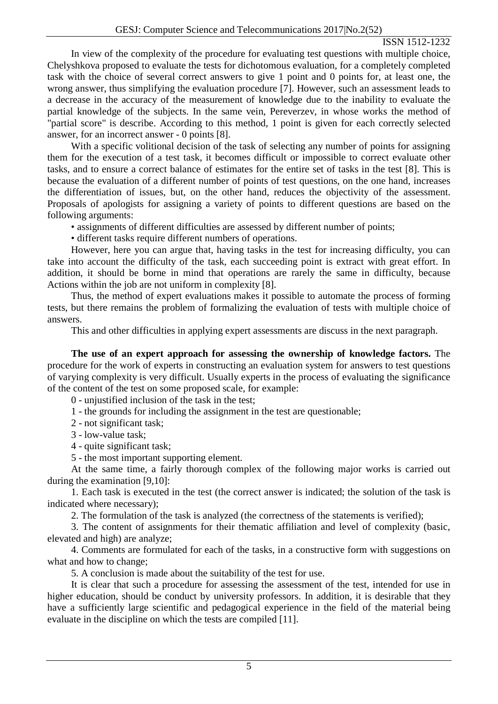In view of the complexity of the procedure for evaluating test questions with multiple choice, Chelyshkova proposed to evaluate the tests for dichotomous evaluation, for a completely completed task with the choice of several correct answers to give 1 point and 0 points for, at least one, the wrong answer, thus simplifying the evaluation procedure [7]. However, such an assessment leads to a decrease in the accuracy of the measurement of knowledge due to the inability to evaluate the partial knowledge of the subjects. In the same vein, Pereverzev, in whose works the method of "partial score" is describe. According to this method, 1 point is given for each correctly selected answer, for an incorrect answer - 0 points [8].

With a specific volitional decision of the task of selecting any number of points for assigning them for the execution of a test task, it becomes difficult or impossible to correct evaluate other tasks, and to ensure a correct balance of estimates for the entire set of tasks in the test [8]. This is because the evaluation of a different number of points of test questions, on the one hand, increases the differentiation of issues, but, on the other hand, reduces the objectivity of the assessment. Proposals of apologists for assigning a variety of points to different questions are based on the following arguments:

• assignments of different difficulties are assessed by different number of points;

• different tasks require different numbers of operations.

However, here you can argue that, having tasks in the test for increasing difficulty, you can take into account the difficulty of the task, each succeeding point is extract with great effort. In addition, it should be borne in mind that operations are rarely the same in difficulty, because Actions within the job are not uniform in complexity [8].

Thus, the method of expert evaluations makes it possible to automate the process of forming tests, but there remains the problem of formalizing the evaluation of tests with multiple choice of answers.

This and other difficulties in applying expert assessments are discuss in the next paragraph.

**The use of an expert approach for assessing the ownership of knowledge factors.** The procedure for the work of experts in constructing an evaluation system for answers to test questions of varying complexity is very difficult. Usually experts in the process of evaluating the significance of the content of the test on some proposed scale, for example:

0 - unjustified inclusion of the task in the test;

1 - the grounds for including the assignment in the test are questionable;

2 - not significant task;

3 - low-value task;

4 - quite significant task;

5 - the most important supporting element.

At the same time, a fairly thorough complex of the following major works is carried out during the examination [9,10]:

1. Each task is executed in the test (the correct answer is indicated; the solution of the task is indicated where necessary);

2. The formulation of the task is analyzed (the correctness of the statements is verified);

3. The content of assignments for their thematic affiliation and level of complexity (basic, elevated and high) are analyze;

4. Comments are formulated for each of the tasks, in a constructive form with suggestions on what and how to change;

5. A conclusion is made about the suitability of the test for use.

It is clear that such a procedure for assessing the assessment of the test, intended for use in higher education, should be conduct by university professors. In addition, it is desirable that they have a sufficiently large scientific and pedagogical experience in the field of the material being evaluate in the discipline on which the tests are compiled [11].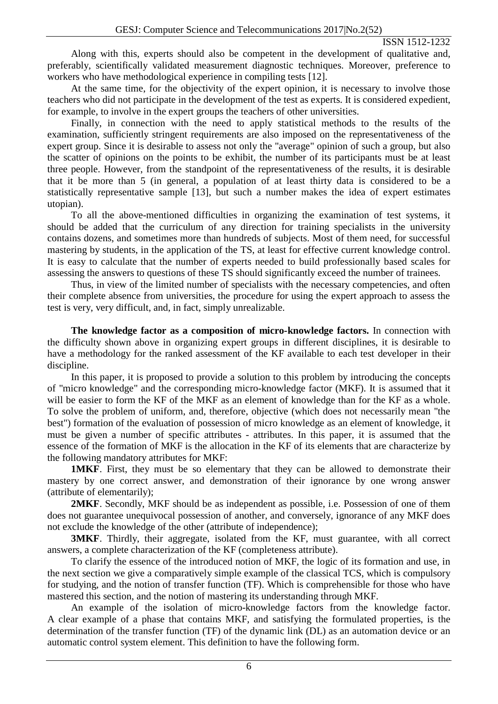Along with this, experts should also be competent in the development of qualitative and, preferably, scientifically validated measurement diagnostic techniques. Moreover, preference to workers who have methodological experience in compiling tests [12].

At the same time, for the objectivity of the expert opinion, it is necessary to involve those teachers who did not participate in the development of the test as experts. It is considered expedient, for example, to involve in the expert groups the teachers of other universities.

Finally, in connection with the need to apply statistical methods to the results of the examination, sufficiently stringent requirements are also imposed on the representativeness of the expert group. Since it is desirable to assess not only the "average" opinion of such a group, but also the scatter of opinions on the points to be exhibit, the number of its participants must be at least three people. However, from the standpoint of the representativeness of the results, it is desirable that it be more than 5 (in general, a population of at least thirty data is considered to be a statistically representative sample [13], but such a number makes the idea of expert estimates utopian).

To all the above-mentioned difficulties in organizing the examination of test systems, it should be added that the curriculum of any direction for training specialists in the university contains dozens, and sometimes more than hundreds of subjects. Most of them need, for successful mastering by students, in the application of the TS, at least for effective current knowledge control. It is easy to calculate that the number of experts needed to build professionally based scales for assessing the answers to questions of these TS should significantly exceed the number of trainees.

Thus, in view of the limited number of specialists with the necessary competencies, and often their complete absence from universities, the procedure for using the expert approach to assess the test is very, very difficult, and, in fact, simply unrealizable.

**The knowledge factor as a composition of micro-knowledge factors.** In connection with the difficulty shown above in organizing expert groups in different disciplines, it is desirable to have a methodology for the ranked assessment of the KF available to each test developer in their discipline.

In this paper, it is proposed to provide a solution to this problem by introducing the concepts of "micro knowledge" and the corresponding micro-knowledge factor (MKF). It is assumed that it will be easier to form the KF of the MKF as an element of knowledge than for the KF as a whole. To solve the problem of uniform, and, therefore, objective (which does not necessarily mean "the best") formation of the evaluation of possession of micro knowledge as an element of knowledge, it must be given a number of specific attributes - attributes. In this paper, it is assumed that the essence of the formation of MKF is the allocation in the KF of its elements that are characterize by the following mandatory attributes for MKF:

**1MKF**. First, they must be so elementary that they can be allowed to demonstrate their mastery by one correct answer, and demonstration of their ignorance by one wrong answer (attribute of elementarily);

**2MKF**. Secondly, MKF should be as independent as possible, i.e. Possession of one of them does not guarantee unequivocal possession of another, and conversely, ignorance of any MKF does not exclude the knowledge of the other (attribute of independence);

**3MKF**. Thirdly, their aggregate, isolated from the KF, must guarantee, with all correct answers, a complete characterization of the KF (completeness attribute).

To clarify the essence of the introduced notion of MKF, the logic of its formation and use, in the next section we give a comparatively simple example of the classical TCS, which is compulsory for studying, and the notion of transfer function (TF). Which is comprehensible for those who have mastered this section, and the notion of mastering its understanding through MKF.

An example of the isolation of micro-knowledge factors from the knowledge factor. A clear example of a phase that contains MKF, and satisfying the formulated properties, is the determination of the transfer function (TF) of the dynamic link (DL) as an automation device or an automatic control system element. This definition to have the following form.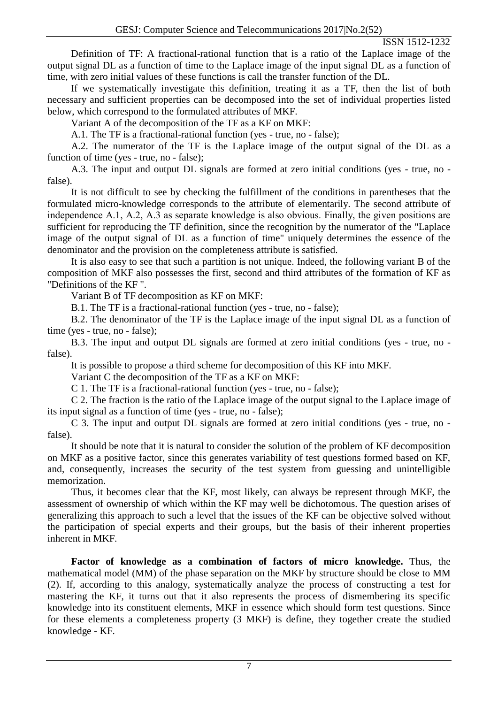Definition of TF: A fractional-rational function that is a ratio of the Laplace image of the output signal DL as a function of time to the Laplace image of the input signal DL as a function of time, with zero initial values of these functions is call the transfer function of the DL.

If we systematically investigate this definition, treating it as a TF, then the list of both necessary and sufficient properties can be decomposed into the set of individual properties listed below, which correspond to the formulated attributes of MKF.

Variant A of the decomposition of the TF as a KF on MKF:

A.1. The TF is a fractional-rational function (yes - true, no - false);

A.2. The numerator of the TF is the Laplace image of the output signal of the DL as a function of time (yes - true, no - false);

A.3. The input and output DL signals are formed at zero initial conditions (yes - true, no false).

It is not difficult to see by checking the fulfillment of the conditions in parentheses that the formulated micro-knowledge corresponds to the attribute of elementarily. The second attribute of independence А.1, А.2, А.3 as separate knowledge is also obvious. Finally, the given positions are sufficient for reproducing the TF definition, since the recognition by the numerator of the "Laplace image of the output signal of DL as a function of time" uniquely determines the essence of the denominator and the provision on the completeness attribute is satisfied.

It is also easy to see that such a partition is not unique. Indeed, the following variant B of the composition of MKF also possesses the first, second and third attributes of the formation of KF as "Definitions of the KF ".

Variant B of TF decomposition as KF on MKF:

B.1. The TF is a fractional-rational function (yes - true, no - false);

B.2. The denominator of the TF is the Laplace image of the input signal DL as a function of time (yes - true, no - false);

B.3. The input and output DL signals are formed at zero initial conditions (yes - true, no false).

It is possible to propose a third scheme for decomposition of this KF into MKF.

Variant C the decomposition of the TF as a KF on MKF:

C 1. The TF is a fractional-rational function (yes - true, no - false);

C 2. The fraction is the ratio of the Laplace image of the output signal to the Laplace image of its input signal as a function of time (yes - true, no - false);

C 3. The input and output DL signals are formed at zero initial conditions (yes - true, no false).

It should be note that it is natural to consider the solution of the problem of KF decomposition on MKF as a positive factor, since this generates variability of test questions formed based on KF, and, consequently, increases the security of the test system from guessing and unintelligible memorization.

Thus, it becomes clear that the KF, most likely, can always be represent through MKF, the assessment of ownership of which within the KF may well be dichotomous. The question arises of generalizing this approach to such a level that the issues of the KF can be objective solved without the participation of special experts and their groups, but the basis of their inherent properties inherent in MKF.

**Factor of knowledge as a combination of factors of micro knowledge.** Thus, the mathematical model (MM) of the phase separation on the MKF by structure should be close to MM (2). If, according to this analogy, systematically analyze the process of constructing a test for mastering the KF, it turns out that it also represents the process of dismembering its specific knowledge into its constituent elements, MKF in essence which should form test questions. Since for these elements a completeness property (3 MKF) is define, they together create the studied knowledge - KF.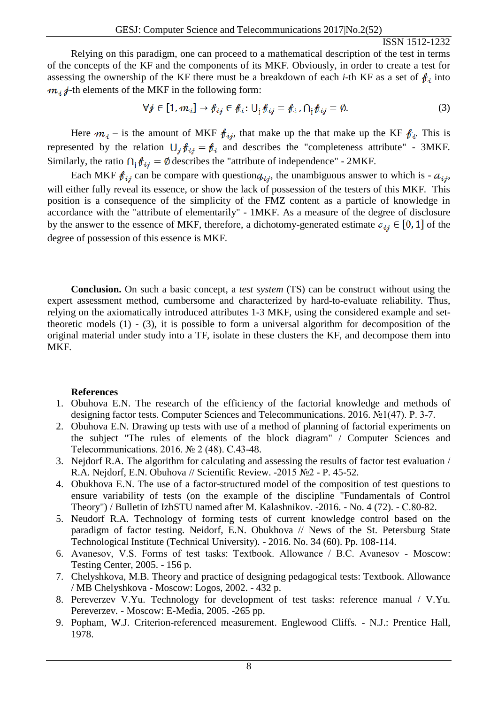Relying on this paradigm, one can proceed to a mathematical description of the test in terms of the concepts of the KF and the components of its MKF. Obviously, in order to create a test for assessing the ownership of the KF there must be a breakdown of each *i*-th KF as a set of  $\mathbf{f}_i$  into  $m_i \neq$ -th elements of the MKF in the following form:

$$
\forall j \in [1, m_i] \to f_{ij} \in f_i : \bigcup_j f_{ij} = f_{i}, \bigcap_j f_{ij} = \emptyset. \tag{3}
$$

Here  $m_i$  – is the amount of MKF  $f_{i,i}$ , that make up the that make up the KF  $f_i$ . This is represented by the relation  $U_i f_{i,j} = f_i$  and describes the "completeness attribute" - 3MKF. Similarly, the ratio  $\bigcap_{i} \mathcal{J}_{i,j} = \emptyset$  describes the "attribute of independence" - 2MKF.

Each MKF  $f_{i,j}$  can be compare with question  $q_{i,j}$ , the unambiguous answer to which is -  $a_{i,j}$ , will either fully reveal its essence, or show the lack of possession of the testers of this MKF. This position is a consequence of the simplicity of the FMZ content as a particle of knowledge in accordance with the "attribute of elementarily" - 1MKF. As a measure of the degree of disclosure by the answer to the essence of MKF, therefore, a dichotomy-generated estimate  $e_{ij} \in [0, 1]$  of the degree of possession of this essence is MKF.

**Conclusion.** On such a basic concept, a *test system* (TS) can be construct without using the expert assessment method, cumbersome and characterized by hard-to-evaluate reliability. Thus, relying on the axiomatically introduced attributes 1-3 MKF, using the considered example and settheoretic models  $(1)$  -  $(3)$ , it is possible to form a universal algorithm for decomposition of the original material under study into a TF, isolate in these clusters the KF, and decompose them into MKF.

# **References**

- 1. Obuhova E.N. The research of the efficiency of the factorial knowledge and methods of designing factor tests. Computer Sciences and Telecommunications. 2016. №1(47). Р. 3-7.
- 2. Obuhova E.N. Drawing up tests with use of a method of planning of factorial experiments on the subject "The rules of elements of the block diagram" / Computer Sciences and Telecommunications. 2016. № 2 (48). С.43-48.
- 3. Nejdorf R.A. The algorithm for calculating and assessing the results of factor test evaluation / R.A. Nejdorf, E.N. Obuhova // Scientific Review. -2015 №2 - P. 45-52.
- 4. Obukhova E.N. The use of a factor-structured model of the composition of test questions to ensure variability of tests (on the example of the discipline "Fundamentals of Control Theory") / Bulletin of IzhSTU named after M. Kalashnikov. -2016. - No. 4 (72). - С.80-82.
- 5. Neudorf R.A. Technology of forming tests of current knowledge control based on the paradigm of factor testing. Neidorf, E.N. Obukhova // News of the St. Petersburg State Technological Institute (Technical University). - 2016. No. 34 (60). Pp. 108-114.
- 6. Avanesov, V.S. Forms of test tasks: Textbook. Allowance / В.С. Avanesov Moscow: Testing Center, 2005. - 156 p.
- 7. Chelyshkova, M.B. Theory and practice of designing pedagogical tests: Textbook. Allowance / MB Chelyshkova - Moscow: Logos, 2002. - 432 p.
- 8. Pereverzev V.Yu. Technology for development of test tasks: reference manual / V.Yu. Pereverzev. - Moscow: E-Media, 2005. -265 pp.
- 9. Popham, W.J. Criterion-referenced measurement. Englewood Cliffs. N.J.: Prentice Hall, 1978.